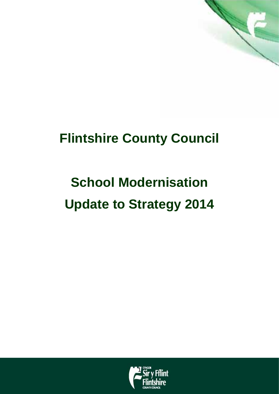

## **Flintshire County Council**

# **School Modernisation Update to Strategy 2014**

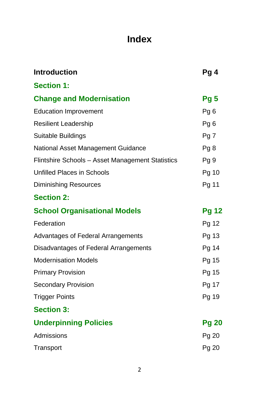## **Index**

| <b>Introduction</b>                              | Pg4             |
|--------------------------------------------------|-----------------|
| <b>Section 1:</b>                                |                 |
| <b>Change and Modernisation</b>                  | Pg 5            |
| <b>Education Improvement</b>                     | Pg <sub>6</sub> |
| <b>Resilient Leadership</b>                      | Pg <sub>6</sub> |
| <b>Suitable Buildings</b>                        | Pg <sub>7</sub> |
| <b>National Asset Management Guidance</b>        | Pg8             |
| Flintshire Schools - Asset Management Statistics | Pg <sub>9</sub> |
| <b>Unfilled Places in Schools</b>                | Pg 10           |
| <b>Diminishing Resources</b>                     | Pg 11           |
| <b>Section 2:</b>                                |                 |
| <b>School Organisational Models</b>              | <b>Pg 12</b>    |
| Federation                                       | Pg 12           |
| <b>Advantages of Federal Arrangements</b>        | Pg 13           |
| Disadvantages of Federal Arrangements            | Pg 14           |
| <b>Modernisation Models</b>                      | Pg 15           |
| <b>Primary Provision</b>                         | Pg 15           |
| <b>Secondary Provision</b>                       | Pg 17           |
| <b>Trigger Points</b>                            | Pg 19           |
| <b>Section 3:</b>                                |                 |
| <b>Underpinning Policies</b>                     | <b>Pg 20</b>    |
| Admissions                                       | Pg 20           |
| Transport                                        | Pg 20           |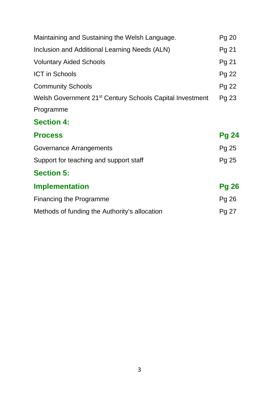| Maintaining and Sustaining the Welsh Language.                       |              |  |
|----------------------------------------------------------------------|--------------|--|
| Inclusion and Additional Learning Needs (ALN)                        | Pg 21        |  |
| <b>Voluntary Aided Schools</b>                                       | Pg 21        |  |
| <b>ICT in Schools</b>                                                | Pg 22        |  |
| <b>Community Schools</b>                                             | Pg 22        |  |
| Welsh Government 21 <sup>st</sup> Century Schools Capital Investment | Pg 23        |  |
| Programme                                                            |              |  |
| <b>Section 4:</b>                                                    |              |  |
| <b>Process</b>                                                       | <b>Pg 24</b> |  |
| Governance Arrangements                                              | Pg 25        |  |
| Support for teaching and support staff                               | Pg 25        |  |
| <b>Section 5:</b>                                                    |              |  |
| <b>Implementation</b>                                                | <b>Pg 26</b> |  |
| <b>Financing the Programme</b>                                       | Pg 26        |  |
| Methods of funding the Authority's allocation                        | Pg 27        |  |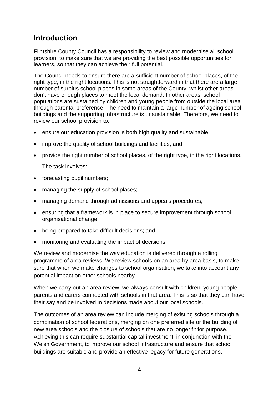### **Introduction**

Flintshire County Council has a responsibility to review and modernise all school provision, to make sure that we are providing the best possible opportunities for learners, so that they can achieve their full potential.

The Council needs to ensure there are a sufficient number of school places, of the right type, in the right locations. This is not straightforward in that there are a large number of surplus school places in some areas of the County, whilst other areas don't have enough places to meet the local demand. In other areas, school populations are sustained by children and young people from outside the local area through parental preference. The need to maintain a large number of ageing school buildings and the supporting infrastructure is unsustainable. Therefore, we need to review our school provision to:

- ensure our education provision is both high quality and sustainable;
- improve the quality of school buildings and facilities; and
- provide the right number of school places, of the right type, in the right locations. The task involves:

- forecasting pupil numbers;
- managing the supply of school places;
- managing demand through admissions and appeals procedures;
- ensuring that a framework is in place to secure improvement through school organisational change;
- being prepared to take difficult decisions; and
- monitoring and evaluating the impact of decisions.

We review and modernise the way education is delivered through a rolling programme of area reviews. We review schools on an area by area basis, to make sure that when we make changes to school organisation, we take into account any potential impact on other schools nearby.

When we carry out an area review, we always consult with children, young people, parents and carers connected with schools in that area. This is so that they can have their say and be involved in decisions made about our local schools.

The outcomes of an area review can include merging of existing schools through a combination of school federations, merging on one preferred site or the building of new area schools and the closure of schools that are no longer fit for purpose. Achieving this can require substantial capital investment, in conjunction with the Welsh Government, to improve our school infrastructure and ensure that school buildings are suitable and provide an effective legacy for future generations.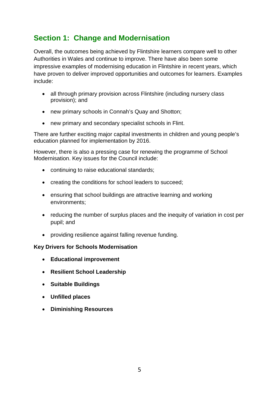## **Section 1: Change and Modernisation**

Overall, the outcomes being achieved by Flintshire learners compare well to other Authorities in Wales and continue to improve. There have also been some impressive examples of modernising education in Flintshire in recent years, which have proven to deliver improved opportunities and outcomes for learners. Examples include:

- all through primary provision across Flintshire (including nursery class provision); and
- new primary schools in Connah's Quay and Shotton;
- new primary and secondary specialist schools in Flint.

There are further exciting major capital investments in children and young people's education planned for implementation by 2016.

However, there is also a pressing case for renewing the programme of School Modernisation. Key issues for the Council include:

- continuing to raise educational standards;
- creating the conditions for school leaders to succeed;
- ensuring that school buildings are attractive learning and working environments;
- reducing the number of surplus places and the inequity of variation in cost per pupil; and
- providing resilience against falling revenue funding.

#### **Key Drivers for Schools Modernisation**

- **Educational improvement**
- **Resilient School Leadership**
- **Suitable Buildings**
- **Unfilled places**
- **Diminishing Resources**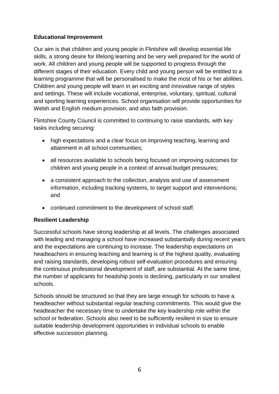#### **Educational Improvement**

Our aim is that children and young people in Flintshire will develop essential life skills, a strong desire for lifelong learning and be very well prepared for the world of work. All children and young people will be supported to progress through the different stages of their education. Every child and young person will be entitled to a learning programme that will be personalised to make the most of his or her abilities. Children and young people will learn in an exciting and innovative range of styles and settings. These will include vocational, enterprise, voluntary, spiritual, cultural and sporting learning experiences. School organisation will provide opportunities for Welsh and English medium provision, and also faith provision.

Flintshire County Council is committed to continuing to raise standards, with key tasks including securing:

- high expectations and a clear focus on improving teaching, learning and attainment in all school communities;
- all resources available to schools being focused on improving outcomes for children and young people in a context of annual budget pressures;
- a consistent approach to the collection, analysis and use of assessment information, including tracking systems, to target support and interventions; and
- continued commitment to the development of school staff.

#### **Resilient Leadership**

Successful schools have strong leadership at all levels. The challenges associated with leading and managing a school have increased substantially during recent years and the expectations are continuing to increase. The leadership expectations on headteachers in ensuring teaching and learning is of the highest quality, evaluating and raising standards, developing robust self-evaluation procedures and ensuring the continuous professional development of staff, are substantial. At the same time, the number of applicants for headship posts is declining, particularly in our smallest schools.

Schools should be structured so that they are large enough for schools to have a headteacher without substantial regular teaching commitments. This would give the headteacher the necessary time to undertake the key leadership role within the school or federation. Schools also need to be sufficiently resilient in size to ensure suitable leadership development opportunities in individual schools to enable effective succession planning.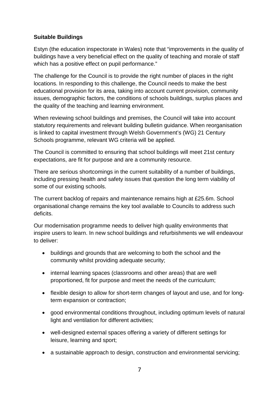#### **Suitable Buildings**

Estyn (the education inspectorate in Wales) note that "improvements in the quality of buildings have a very beneficial effect on the quality of teaching and morale of staff which has a positive effect on pupil performance."

The challenge for the Council is to provide the right number of places in the right locations. In responding to this challenge, the Council needs to make the best educational provision for its area, taking into account current provision, community issues, demographic factors, the conditions of schools buildings, surplus places and the quality of the teaching and learning environment.

When reviewing school buildings and premises, the Council will take into account statutory requirements and relevant building bulletin guidance. When reorganisation is linked to capital investment through Welsh Government's (WG) 21 Century Schools programme, relevant WG criteria will be applied.

The Council is committed to ensuring that school buildings will meet 21st century expectations, are fit for purpose and are a community resource.

There are serious shortcomings in the current suitability of a number of buildings, including pressing health and safety issues that question the long term viability of some of our existing schools.

The current backlog of repairs and maintenance remains high at £25.6m. School organisational change remains the key tool available to Councils to address such deficits.

Our modernisation programme needs to deliver high quality environments that inspire users to learn. In new school buildings and refurbishments we will endeavour to deliver:

- buildings and grounds that are welcoming to both the school and the community whilst providing adequate security;
- internal learning spaces (classrooms and other areas) that are well proportioned, fit for purpose and meet the needs of the curriculum;
- flexible design to allow for short-term changes of layout and use, and for longterm expansion or contraction;
- good environmental conditions throughout, including optimum levels of natural light and ventilation for different activities;
- well-designed external spaces offering a variety of different settings for leisure, learning and sport;
- a sustainable approach to design, construction and environmental servicing;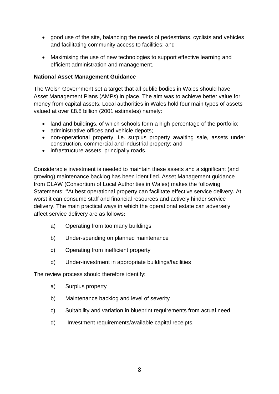- good use of the site, balancing the needs of pedestrians, cyclists and vehicles and facilitating community access to facilities; and
- Maximising the use of new technologies to support effective learning and efficient administration and management.

#### **National Asset Management Guidance**

The Welsh Government set a target that all public bodies in Wales should have Asset Management Plans (AMPs) in place. The aim was to achieve better value for money from capital assets. Local authorities in Wales hold four main types of assets valued at over £8.8 billion (2001 estimates) namely:

- land and buildings, of which schools form a high percentage of the portfolio;
- administrative offices and vehicle depots;
- non-operational property, i.e. surplus property awaiting sale, assets under construction, commercial and industrial property; and
- infrastructure assets, principally roads.

Considerable investment is needed to maintain these assets and a significant (and growing) maintenance backlog has been identified. Asset Management guidance from CLAW (Consortium of Local Authorities in Wales) makes the following Statements: **"**At best operational property can facilitate effective service delivery. At worst it can consume staff and financial resources and actively hinder service delivery. The main practical ways in which the operational estate can adversely affect service delivery are as follows**:**

- a) Operating from too many buildings
- b) Under-spending on planned maintenance
- c) Operating from inefficient property
- d) Under-investment in appropriate buildings/facilities

The review process should therefore identify:

- a) Surplus property
- b) Maintenance backlog and level of severity
- c) Suitability and variation in blueprint requirements from actual need
- d) Investment requirements/available capital receipts.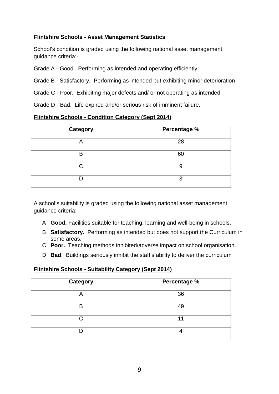#### **Flintshire Schools - Asset Management Statistics**

School's condition is graded using the following national asset management guidance criteria:-

Grade A - Good. Performing as intended and operating efficiently

Grade B - Satisfactory. Performing as intended but exhibiting minor deterioration

Grade C - Poor. Exhibiting major defects and/ or not operating as intended

Grade D - Bad. Life expired and/or serious risk of imminent failure.

#### **Flintshire Schools - Condition Category (Sept 2014)**

| <b>Category</b> | Percentage % |
|-----------------|--------------|
| A               | 28           |
| B               | 60           |
| ◠               | 9            |
|                 | 3            |

A school's suitability is graded using the following national asset management guidance criteria:

- A **Good.** Facilities suitable for teaching, learning and well-being in schools.
- B **Satisfactory.** Performing as intended but does not support the Curriculum in some areas.
- C **Poor.** Teaching methods inhibited/adverse impact on school organisation.
- D **Bad**. Buildings seriously inhibit the staff's ability to deliver the curriculum

#### **Flintshire Schools - Suitability Category (Sept 2014)**

| <b>Category</b> | Percentage % |
|-----------------|--------------|
| $\mapsto$       | 36           |
| B               | 49           |
| ⌒               |              |
|                 |              |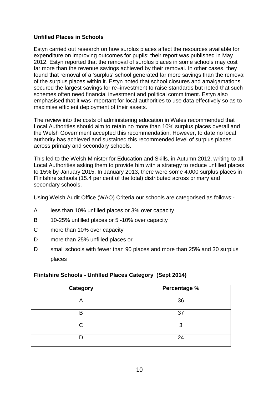#### **Unfilled Places in Schools**

Estyn carried out research on how surplus places affect the resources available for expenditure on improving outcomes for pupils; their report was published in May 2012. Estyn reported that the removal of surplus places in some schools may cost far more than the revenue savings achieved by their removal. In other cases, they found that removal of a 'surplus' school generated far more savings than the removal of the surplus places within it. Estyn noted that school closures and amalgamations secured the largest savings for re–investment to raise standards but noted that such schemes often need financial investment and political commitment. Estyn also emphasised that it was important for local authorities to use data effectively so as to maximise efficient deployment of their assets.

The review into the costs of administering education in Wales recommended that Local Authorities should aim to retain no more than 10% surplus places overall and the Welsh Government accepted this recommendation. However, to date no local authority has achieved and sustained this recommended level of surplus places across primary and secondary schools.

This led to the Welsh Minister for Education and Skills, in Autumn 2012, writing to all Local Authorities asking them to provide him with a strategy to reduce unfilled places to 15% by January 2015. In January 2013, there were some 4,000 surplus places in Flintshire schools (15.4 per cent of the total) distributed across primary and secondary schools.

Using Welsh Audit Office (WAO) Criteria our schools are categorised as follows:-

- A less than 10% unfilled places or 3% over capacity
- B 10-25% unfilled places or 5 -10% over capacity
- C more than 10% over capacity
- D more than 25% unfilled places or
- D small schools with fewer than 90 places and more than 25% and 30 surplus places

#### **Flintshire Schools - Unfilled Places Category (Sept 2014)**

| <b>Category</b> | Percentage % |
|-----------------|--------------|
| А               | 36           |
| R               | 37           |
| ◠               | 3            |
|                 | 24           |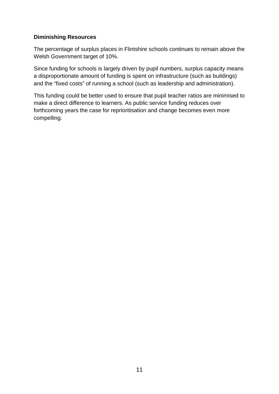#### **Diminishing Resources**

The percentage of surplus places in Flintshire schools continues to remain above the Welsh Government target of 10%.

Since funding for schools is largely driven by pupil numbers, surplus capacity means a disproportionate amount of funding is spent on infrastructure (such as buildings) and the "fixed costs" of running a school (such as leadership and administration).

This funding could be better used to ensure that pupil teacher ratios are minimised to make a direct difference to learners. As public service funding reduces over forthcoming years the case for reprioritisation and change becomes even more compelling.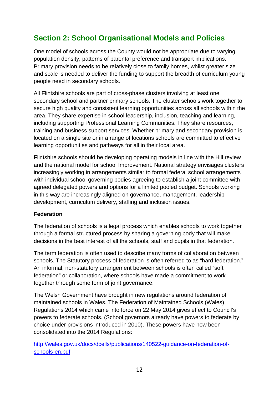## **Section 2: School Organisational Models and Policies**

One model of schools across the County would not be appropriate due to varying population density, patterns of parental preference and transport implications. Primary provision needs to be relatively close to family homes, whilst greater size and scale is needed to deliver the funding to support the breadth of curriculum young people need in secondary schools.

All Flintshire schools are part of cross-phase clusters involving at least one secondary school and partner primary schools. The cluster schools work together to secure high quality and consistent learning opportunities across all schools within the area. They share expertise in school leadership, inclusion, teaching and learning, including supporting Professional Learning Communities. They share resources, training and business support services. Whether primary and secondary provision is located on a single site or in a range of locations schools are committed to effective learning opportunities and pathways for all in their local area.

Flintshire schools should be developing operating models in line with the Hill review and the national model for school Improvement. National strategy envisages clusters increasingly working in arrangements similar to formal federal school arrangements with individual school governing bodies agreeing to establish a joint committee with agreed delegated powers and options for a limited pooled budget. Schools working in this way are increasingly aligned on governance, management, leadership development, curriculum delivery, staffing and inclusion issues.

#### **Federation**

The federation of schools is a legal process which enables schools to work together through a formal structured process by sharing a governing body that will make decisions in the best interest of all the schools, staff and pupils in that federation.

The term federation is often used to describe many forms of collaboration between schools. The Statutory process of federation is often referred to as "hard federation." An informal, non-statutory arrangement between schools is often called "soft federation" or collaboration, where schools have made a commitment to work together through some form of joint governance.

The Welsh Government have brought in new regulations around federation of maintained schools in Wales. The Federation of Maintained Schools (Wales) Regulations 2014 which came into force on 22 May 2014 gives effect to Council's powers to federate schools. (School governors already have powers to federate by choice under provisions introduced in 2010). These powers have now been consolidated into the 2014 Regulations:

[http://wales.gov.uk/docs/dcells/publications/140522-guidance-on-federation-of](http://wales.gov.uk/docs/dcells/publications/140522-guidance-on-federation-of-schools-en.pdf)[schools-en.pdf](http://wales.gov.uk/docs/dcells/publications/140522-guidance-on-federation-of-schools-en.pdf)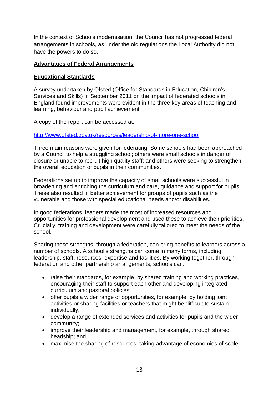In the context of Schools modernisation, the Council has not progressed federal arrangements in schools, as under the old regulations the Local Authority did not have the powers to do so.

#### **Advantages of Federal Arrangements**

#### **Educational Standards**

A survey undertaken by Ofsted (Office for Standards in Education, Children's Services and Skills) in September 2011 on the impact of federated schools in England found improvements were evident in the three key areas of teaching and learning, behaviour and pupil achievement

A copy of the report can be accessed at:

<http://www.ofsted.gov.uk/resources/leadership-of-more-one-school>

Three main reasons were given for federating. Some schools had been approached by a Council to help a struggling school; others were small schools in danger of closure or unable to recruit high quality staff; and others were seeking to strengthen the overall education of pupils in their communities.

Federations set up to improve the capacity of small schools were successful in broadening and enriching the curriculum and care, guidance and support for pupils. These also resulted in better achievement for groups of pupils such as the vulnerable and those with special educational needs and/or disabilities.

In good federations, leaders made the most of increased resources and opportunities for professional development and used these to achieve their priorities. Crucially, training and development were carefully tailored to meet the needs of the school.

Sharing these strengths, through a federation, can bring benefits to learners across a number of schools. A school's strengths can come in many forms, including leadership, staff, resources, expertise and facilities. By working together, through federation and other partnership arrangements, schools can:

- raise their standards, for example, by shared training and working practices, encouraging their staff to support each other and developing integrated curriculum and pastoral policies;
- offer pupils a wider range of opportunities, for example, by holding joint activities or sharing facilities or teachers that might be difficult to sustain individually;
- develop a range of extended services and activities for pupils and the wider community;
- improve their leadership and management, for example, through shared headship; and
- maximise the sharing of resources, taking advantage of economies of scale.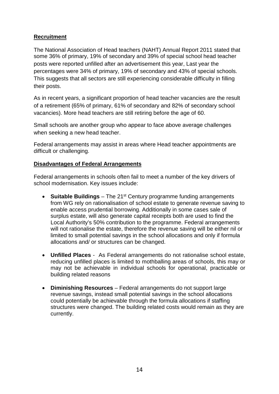#### **Recruitment**

The National Association of Head teachers (NAHT) Annual Report 2011 stated that some 36% of primary, 19% of secondary and 39% of special school head teacher posts were reported unfilled after an advertisement this year, Last year the percentages were 34% of primary, 19% of secondary and 43% of special schools. This suggests that all sectors are still experiencing considerable difficulty in filling their posts.

As in recent years, a significant proportion of head teacher vacancies are the result of a retirement (65% of primary, 61% of secondary and 82% of secondary school vacancies). More head teachers are still retiring before the age of 60.

Small schools are another group who appear to face above average challenges when seeking a new head teacher.

Federal arrangements may assist in areas where Head teacher appointments are difficult or challenging.

#### **Disadvantages of Federal Arrangements**

Federal arrangements in schools often fail to meet a number of the key drivers of school modernisation. Key issues include:

- Suitable Buildings The 21<sup>st</sup> Century programme funding arrangements from WG rely on rationalisation of school estate to generate revenue saving to enable access prudential borrowing. Additionally in some cases sale of surplus estate, will also generate capital receipts both are used to find the Local Authority's 50% contribution to the programme. Federal arrangements will not rationalise the estate, therefore the revenue saving will be either nil or limited to small potential savings in the school allocations and only if formula allocations and/ or structures can be changed.
- **Unfilled Places** As Federal arrangements do not rationalise school estate, reducing unfilled places is limited to mothballing areas of schools, this may or may not be achievable in individual schools for operational, practicable or building related reasons
- **Diminishing Resources** Federal arrangements do not support large revenue savings, instead small potential savings in the school allocations could potentially be achievable through the formula allocations if staffing structures were changed. The building related costs would remain as they are currently.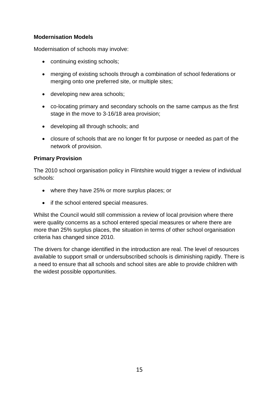#### **Modernisation Models**

Modernisation of schools may involve:

- continuing existing schools;
- merging of existing schools through a combination of school federations or merging onto one preferred site, or multiple sites;
- developing new area schools;
- co-locating primary and secondary schools on the same campus as the first stage in the move to 3-16/18 area provision;
- developing all through schools; and
- closure of schools that are no longer fit for purpose or needed as part of the network of provision.

#### **Primary Provision**

The 2010 school organisation policy in Flintshire would trigger a review of individual schools:

- where they have 25% or more surplus places; or
- if the school entered special measures.

Whilst the Council would still commission a review of local provision where there were quality concerns as a school entered special measures or where there are more than 25% surplus places, the situation in terms of other school organisation criteria has changed since 2010.

The drivers for change identified in the introduction are real. The level of resources available to support small or undersubscribed schools is diminishing rapidly. There is a need to ensure that all schools and school sites are able to provide children with the widest possible opportunities.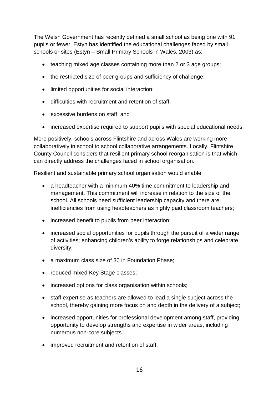The Welsh Government has recently defined a small school as being one with 91 pupils or fewer. Estyn has identified the educational challenges faced by small schools or sites (Estyn – Small Primary Schools in Wales, 2003) as:

- teaching mixed age classes containing more than 2 or 3 age groups;
- the restricted size of peer groups and sufficiency of challenge;
- limited opportunities for social interaction;
- difficulties with recruitment and retention of staff;
- excessive burdens on staff; and
- increased expertise required to support pupils with special educational needs.

More positively, schools across Flintshire and across Wales are working more collaboratively in school to school collaborative arrangements. Locally, Flintshire County Council considers that resilient primary school reorganisation is that which can directly address the challenges faced in school organisation.

Resilient and sustainable primary school organisation would enable:

- a headteacher with a minimum 40% time commitment to leadership and management. This commitment will increase in relation to the size of the school. All schools need sufficient leadership capacity and there are inefficiencies from using headteachers as highly paid classroom teachers;
- increased benefit to pupils from peer interaction;
- increased social opportunities for pupils through the pursuit of a wider range of activities; enhancing children's ability to forge relationships and celebrate diversity;
- a maximum class size of 30 in Foundation Phase:
- reduced mixed Key Stage classes;
- increased options for class organisation within schools;
- staff expertise as teachers are allowed to lead a single subject across the school, thereby gaining more focus on and depth in the delivery of a subject;
- increased opportunities for professional development among staff, providing opportunity to develop strengths and expertise in wider areas, including numerous non-core subjects.
- improved recruitment and retention of staff;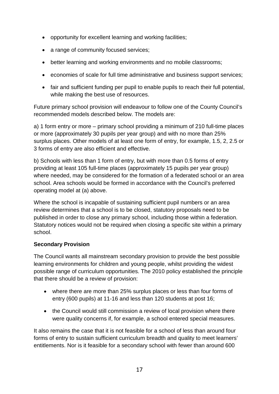- opportunity for excellent learning and working facilities;
- a range of community focused services;
- better learning and working environments and no mobile classrooms;
- economies of scale for full time administrative and business support services;
- fair and sufficient funding per pupil to enable pupils to reach their full potential, while making the best use of resources.

Future primary school provision will endeavour to follow one of the County Council's recommended models described below. The models are:

a) 1 form entry or more – primary school providing a minimum of 210 full-time places or more (approximately 30 pupils per year group) and with no more than 25% surplus places. Other models of at least one form of entry, for example, 1.5, 2, 2.5 or 3 forms of entry are also efficient and effective.

b) Schools with less than 1 form of entry, but with more than 0.5 forms of entry providing at least 105 full-time places (approximately 15 pupils per year group) where needed, may be considered for the formation of a federated school or an area school. Area schools would be formed in accordance with the Council's preferred operating model at (a) above.

Where the school is incapable of sustaining sufficient pupil numbers or an area review determines that a school is to be closed, statutory proposals need to be published in order to close any primary school, including those within a federation. Statutory notices would not be required when closing a specific site within a primary school.

#### **Secondary Provision**

The Council wants all mainstream secondary provision to provide the best possible learning environments for children and young people, whilst providing the widest possible range of curriculum opportunities. The 2010 policy established the principle that there should be a review of provision:

- where there are more than 25% surplus places or less than four forms of entry (600 pupils) at 11-16 and less than 120 students at post 16;
- the Council would still commission a review of local provision where there were quality concerns if, for example, a school entered special measures.

It also remains the case that it is not feasible for a school of less than around four forms of entry to sustain sufficient curriculum breadth and quality to meet learners' entitlements. Nor is it feasible for a secondary school with fewer than around 600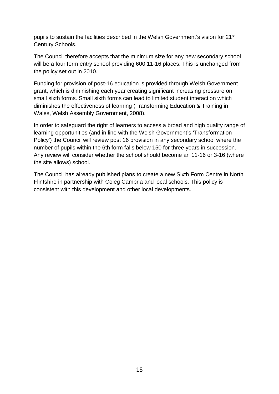pupils to sustain the facilities described in the Welsh Government's vision for 21<sup>st</sup> Century Schools.

The Council therefore accepts that the minimum size for any new secondary school will be a four form entry school providing 600 11-16 places. This is unchanged from the policy set out in 2010.

Funding for provision of post-16 education is provided through Welsh Government grant, which is diminishing each year creating significant increasing pressure on small sixth forms. Small sixth forms can lead to limited student interaction which diminishes the effectiveness of learning (Transforming Education & Training in Wales, Welsh Assembly Government, 2008).

In order to safeguard the right of learners to access a broad and high quality range of learning opportunities (and in line with the Welsh Government's 'Transformation Policy') the Council will review post 16 provision in any secondary school where the number of pupils within the 6th form falls below 150 for three years in succession. Any review will consider whether the school should become an 11-16 or 3-16 (where the site allows) school.

The Council has already published plans to create a new Sixth Form Centre in North Flintshire in partnership with Coleg Cambria and local schools. This policy is consistent with this development and other local developments.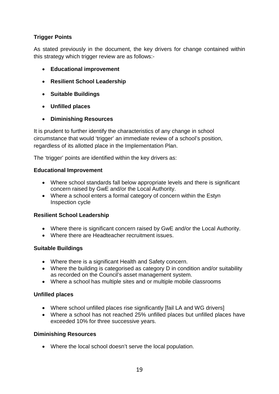#### **Trigger Points**

As stated previously in the document, the key drivers for change contained within this strategy which trigger review are as follows:-

- **Educational improvement**
- **Resilient School Leadership**
- **Suitable Buildings**
- **Unfilled places**
- **Diminishing Resources**

It is prudent to further identify the characteristics of any change in school circumstance that would 'trigger' an immediate review of a school's position, regardless of its allotted place in the Implementation Plan.

The 'trigger' points are identified within the key drivers as:

#### **Educational Improvement**

- Where school standards fall below appropriate levels and there is significant concern raised by GwE and/or the Local Authority.
- Where a school enters a formal category of concern within the Estyn Inspection cycle

#### **Resilient School Leadership**

- Where there is significant concern raised by GwE and/or the Local Authority.
- Where there are Headteacher recruitment issues.

#### **Suitable Buildings**

- Where there is a significant Health and Safety concern.
- Where the building is categorised as category D in condition and/or suitability as recorded on the Council's asset management system.
- Where a school has multiple sites and or multiple mobile classrooms

#### **Unfilled places**

- Where school unfilled places rise significantly [fail LA and WG drivers]
- Where a school has not reached 25% unfilled places but unfilled places have exceeded 10% for three successive years.

#### **Diminishing Resources**

• Where the local school doesn't serve the local population.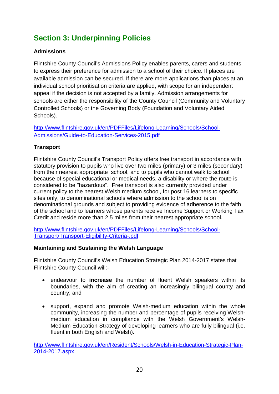## **Section 3: Underpinning Policies**

#### **Admissions**

Flintshire County Council's Admissions Policy enables parents, carers and students to express their preference for admission to a school of their choice. If places are available admission can be secured. If there are more applications than places at an individual school prioritisation criteria are applied, with scope for an independent appeal if the decision is not accepted by a family. Admission arrangements for schools are either the responsibility of the County Council (Community and Voluntary Controlled Schools) or the Governing Body (Foundation and Voluntary Aided Schools).

[http://www.flintshire.gov.uk/en/PDFFiles/Lifelong-Learning/Schools/School-](http://www.flintshire.gov.uk/en/PDFFiles/Lifelong-Learning/Schools/School-Admissions/Guide-to-Education-Services-2015.pdf)[Admissions/Guide-to-Education-Services-2015.pdf](http://www.flintshire.gov.uk/en/PDFFiles/Lifelong-Learning/Schools/School-Admissions/Guide-to-Education-Services-2015.pdf)

#### **Transport**

Flintshire County Council's Transport Policy offers free transport in accordance with statutory provision to pupils who live over two miles (primary) or 3 miles (secondary) from their nearest appropriate school, and to pupils who cannot walk to school because of special educational or medical needs, a disability or where the route is considered to be "hazardous". Free transport is also currently provided under current policy to the nearest Welsh medium school, for post 16 learners to specific sites only, to denominational schools where admission to the school is on denominational grounds and subject to providing evidence of adherence to the faith of the school and to learners whose parents receive Income Support or Working Tax Credit and reside more than 2.5 miles from their nearest appropriate school.

[http://www.flintshire.gov.uk/en/PDFFiles/Lifelong-Learning/Schools/School-](http://www.flintshire.gov.uk/en/PDFFiles/Lifelong-Learning/Schools/School-Transport/Transport-Eligibility-Criteria-.pdf)[Transport/Transport-Eligibility-Criteria-.pdf](http://www.flintshire.gov.uk/en/PDFFiles/Lifelong-Learning/Schools/School-Transport/Transport-Eligibility-Criteria-.pdf)

#### **Maintaining and Sustaining the Welsh Language**

Flintshire County Council's Welsh Education Strategic Plan 2014-2017 states that Flintshire County Council will:-

- endeavour to **increase** the number of fluent Welsh speakers within its boundaries, with the aim of creating an increasingly bilingual county and country; and
- support, expand and promote Welsh-medium education within the whole community, increasing the number and percentage of pupils receiving Welshmedium education in compliance with the Welsh Government's Welsh-Medium Education Strategy of developing learners who are fully bilingual (i.e. fluent in both English and Welsh).

[http://www.flintshire.gov.uk/en/Resident/Schools/Welsh-in-Education-Strategic-Plan-](http://www.flintshire.gov.uk/en/Resident/Schools/Welsh-in-Education-Strategic-Plan-2014-2017.aspx)[2014-2017.aspx](http://www.flintshire.gov.uk/en/Resident/Schools/Welsh-in-Education-Strategic-Plan-2014-2017.aspx)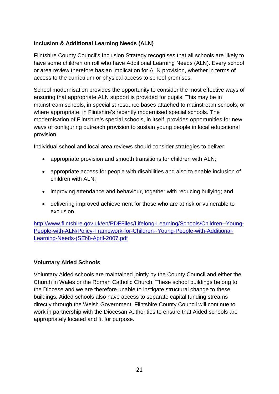#### **Inclusion & Additional Learning Needs (ALN)**

Flintshire County Council's Inclusion Strategy recognises that all schools are likely to have some children on roll who have Additional Learning Needs (ALN). Every school or area review therefore has an implication for ALN provision, whether in terms of access to the curriculum or physical access to school premises.

School modernisation provides the opportunity to consider the most effective ways of ensuring that appropriate ALN support is provided for pupils. This may be in mainstream schools, in specialist resource bases attached to mainstream schools, or where appropriate, in Flintshire's recently modernised special schools. The modernisation of Flintshire's special schools, in itself, provides opportunities for new ways of configuring outreach provision to sustain young people in local educational provision.

Individual school and local area reviews should consider strategies to deliver:

- appropriate provision and smooth transitions for children with ALN;
- appropriate access for people with disabilities and also to enable inclusion of children with ALN;
- improving attendance and behaviour, together with reducing bullying; and
- delivering improved achievement for those who are at risk or vulnerable to exclusion.

[http://www.flintshire.gov.uk/en/PDFFiles/Lifelong-Learning/Schools/Children--Young-](http://www.flintshire.gov.uk/en/PDFFiles/Lifelong-Learning/Schools/Children--Young-People-with-ALN/Policy-Framework-for-Children--Young-People-with-Additional-Learning-Needs-(SEN)-April-2007.pdf)[People-with-ALN/Policy-Framework-for-Children--Young-People-with-Additional-](http://www.flintshire.gov.uk/en/PDFFiles/Lifelong-Learning/Schools/Children--Young-People-with-ALN/Policy-Framework-for-Children--Young-People-with-Additional-Learning-Needs-(SEN)-April-2007.pdf)[Learning-Needs-\(SEN\)-April-2007.pdf](http://www.flintshire.gov.uk/en/PDFFiles/Lifelong-Learning/Schools/Children--Young-People-with-ALN/Policy-Framework-for-Children--Young-People-with-Additional-Learning-Needs-(SEN)-April-2007.pdf)

#### **Voluntary Aided Schools**

Voluntary Aided schools are maintained jointly by the County Council and either the Church in Wales or the Roman Catholic Church. These school buildings belong to the Diocese and we are therefore unable to instigate structural change to these buildings. Aided schools also have access to separate capital funding streams directly through the Welsh Government. Flintshire County Council will continue to work in partnership with the Diocesan Authorities to ensure that Aided schools are appropriately located and fit for purpose.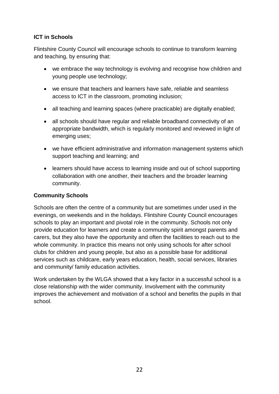#### **ICT in Schools**

Flintshire County Council will encourage schools to continue to transform learning and teaching, by ensuring that:

- we embrace the way technology is evolving and recognise how children and young people use technology;
- we ensure that teachers and learners have safe, reliable and seamless access to ICT in the classroom, promoting inclusion;
- all teaching and learning spaces (where practicable) are digitally enabled;
- all schools should have regular and reliable broadband connectivity of an appropriate bandwidth, which is regularly monitored and reviewed in light of emerging uses;
- we have efficient administrative and information management systems which support teaching and learning; and
- learners should have access to learning inside and out of school supporting collaboration with one another, their teachers and the broader learning community.

#### **Community Schools**

Schools are often the centre of a community but are sometimes under used in the evenings, on weekends and in the holidays. Flintshire County Council encourages schools to play an important and pivotal role in the community. Schools not only provide education for learners and create a community spirit amongst parents and carers, but they also have the opportunity and often the facilities to reach out to the whole community. In practice this means not only using schools for after school clubs for children and young people, but also as a possible base for additional services such as childcare, early years education, health, social services, libraries and community/ family education activities.

Work undertaken by the WLGA showed that a key factor in a successful school is a close relationship with the wider community. Involvement with the community improves the achievement and motivation of a school and benefits the pupils in that school.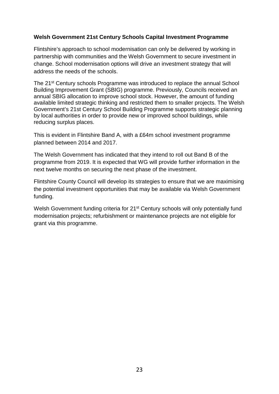#### **Welsh Government 21st Century Schools Capital Investment Programme**

Flintshire's approach to school modernisation can only be delivered by working in partnership with communities and the Welsh Government to secure investment in change. School modernisation options will drive an investment strategy that will address the needs of the schools.

The 21<sup>st</sup> Century schools Programme was introduced to replace the annual School Building Improvement Grant (SBIG) programme. Previously, Councils received an annual SBIG allocation to improve school stock. However, the amount of funding available limited strategic thinking and restricted them to smaller projects. The Welsh Government's 21st Century School Building Programme supports strategic planning by local authorities in order to provide new or improved school buildings, while reducing surplus places.

This is evident in Flintshire Band A, with a £64m school investment programme planned between 2014 and 2017.

The Welsh Government has indicated that they intend to roll out Band B of the programme from 2019. It is expected that WG will provide further information in the next twelve months on securing the next phase of the investment.

Flintshire County Council will develop its strategies to ensure that we are maximising the potential investment opportunities that may be available via Welsh Government funding.

Welsh Government funding criteria for 21<sup>st</sup> Century schools will only potentially fund modernisation projects; refurbishment or maintenance projects are not eligible for grant via this programme.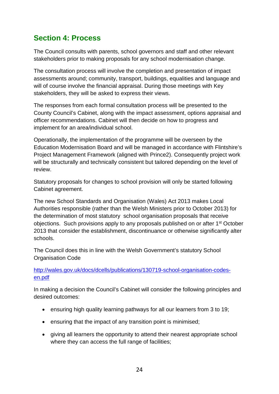## **Section 4: Process**

The Council consults with parents, school governors and staff and other relevant stakeholders prior to making proposals for any school modernisation change.

The consultation process will involve the completion and presentation of impact assessments around; community, transport, buildings, equalities and language and will of course involve the financial appraisal. During those meetings with Key stakeholders, they will be asked to express their views.

The responses from each formal consultation process will be presented to the County Council's Cabinet, along with the impact assessment, options appraisal and officer recommendations. Cabinet will then decide on how to progress and implement for an area/individual school.

Operationally, the implementation of the programme will be overseen by the Education Modernisation Board and will be managed in accordance with Flintshire's Project Management Framework (aligned with Prince2). Consequently project work will be structurally and technically consistent but tailored depending on the level of review.

Statutory proposals for changes to school provision will only be started following Cabinet agreement.

The new School Standards and Organisation (Wales) Act 2013 makes Local Authorities responsible (rather than the Welsh Ministers prior to October 2013) for the determination of most statutory school organisation proposals that receive objections. Such provisions apply to any proposals published on or after 1st October 2013 that consider the establishment, discontinuance or otherwise significantly alter schools.

The Council does this in line with the Welsh Government's statutory School Organisation Code

[http://wales.gov.uk/docs/dcells/publications/130719-school-organisation-codes](http://wales.gov.uk/docs/dcells/publications/130719-school-organisation-codes-en.pdf)[en.pdf](http://wales.gov.uk/docs/dcells/publications/130719-school-organisation-codes-en.pdf)

In making a decision the Council's Cabinet will consider the following principles and desired outcomes:

- ensuring high quality learning pathways for all our learners from 3 to 19;
- ensuring that the impact of any transition point is minimised;
- giving all learners the opportunity to attend their nearest appropriate school where they can access the full range of facilities;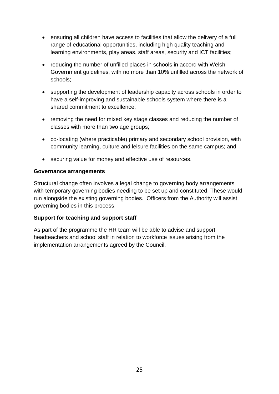- ensuring all children have access to facilities that allow the delivery of a full range of educational opportunities, including high quality teaching and learning environments, play areas, staff areas, security and ICT facilities;
- reducing the number of unfilled places in schools in accord with Welsh Government guidelines, with no more than 10% unfilled across the network of schools;
- supporting the development of leadership capacity across schools in order to have a self-improving and sustainable schools system where there is a shared commitment to excellence;
- removing the need for mixed key stage classes and reducing the number of classes with more than two age groups;
- co-locating (where practicable) primary and secondary school provision, with community learning, culture and leisure facilities on the same campus; and
- securing value for money and effective use of resources.

#### **Governance arrangements**

Structural change often involves a legal change to governing body arrangements with temporary governing bodies needing to be set up and constituted. These would run alongside the existing governing bodies. Officers from the Authority will assist governing bodies in this process.

#### **Support for teaching and support staff**

As part of the programme the HR team will be able to advise and support headteachers and school staff in relation to workforce issues arising from the implementation arrangements agreed by the Council.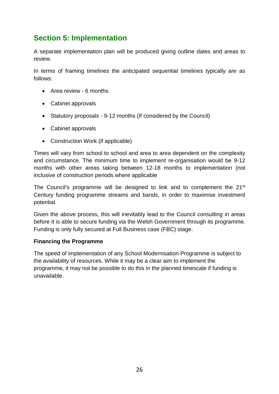## **Section 5: Implementation**

A separate implementation plan will be produced giving outline dates and areas to review.

In terms of framing timelines the anticipated sequential timelines typically are as follows:

- Area review 6 months
- Cabinet approvals
- Statutory proposals 9-12 months (If considered by the Council)
- Cabinet approvals
- Construction Work (if applicable)

Times will vary from school to school and area to area dependent on the complexity and circumstance. The minimum time to implement re-organisation would be 9-12 months with other areas taking between 12-18 months to implementation (not inclusive of construction periods where applicable

The Council's programme will be designed to link and to complement the 21<sup>st</sup> Century funding programme streams and bands, in order to maximise investment potential.

Given the above process, this will inevitably lead to the Council consulting in areas before it is able to secure funding via the Welsh Government through its programme. Funding is only fully secured at Full Business case (FBC) stage.

#### **Financing the Programme**

The speed of implementation of any School Modernisation Programme is subject to the availability of resources. While it may be a clear aim to implement the programme, it may not be possible to do this in the planned timescale if funding is unavailable.